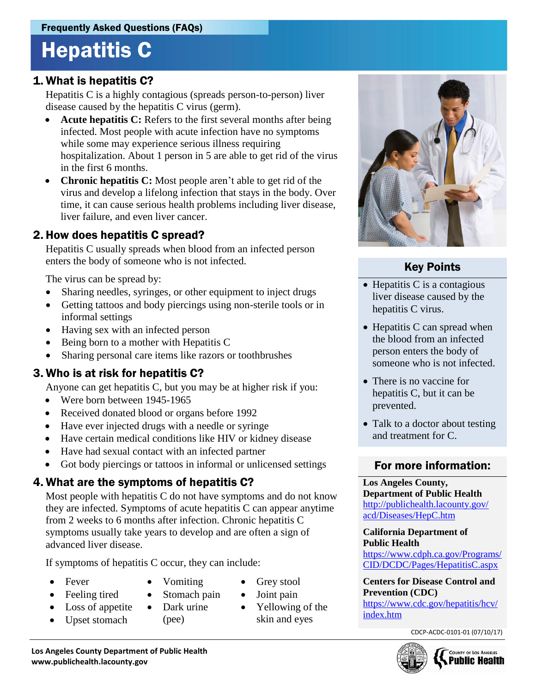# Hepatitis C

### 1. What is hepatitis C?

Hepatitis C is a highly contagious (spreads person-to-person) liver disease caused by the hepatitis C virus (germ).

- **Acute hepatitis C:** Refers to the first several months after being infected. Most people with acute infection have no symptoms while some may experience serious illness requiring hospitalization. About 1 person in 5 are able to get rid of the virus in the first 6 months.
- **Chronic hepatitis C:** Most people aren't able to get rid of the virus and develop a lifelong infection that stays in the body. Over time, it can cause serious health problems including liver disease, liver failure, and even liver cancer.

#### 2. How does hepatitis C spread?

Hepatitis C usually spreads when blood from an infected person enters the body of someone who is not infected.

The virus can be spread by:

- Sharing needles, syringes, or other equipment to inject drugs
- Getting tattoos and body piercings using non-sterile tools or in informal settings
- Having sex with an infected person
- Being born to a mother with Hepatitis C
- Sharing personal care items like razors or toothbrushes

#### 3. Who is at risk for hepatitis C?

Anyone can get hepatitis C, but you may be at higher risk if you:

- Were born between 1945-1965
- Received donated blood or organs before 1992
- Have ever injected drugs with a needle or syringe
- Have certain medical conditions like HIV or kidney disease
- Have had sexual contact with an infected partner
- Got body piercings or tattoos in informal or unlicensed settings

#### 4. What are the symptoms of hepatitis C?

Most people with hepatitis C do not have symptoms and do not know they are infected. Symptoms of acute hepatitis C can appear anytime from 2 weeks to 6 months after infection. Chronic hepatitis C symptoms usually take years to develop and are often a sign of advanced liver disease.

If symptoms of hepatitis C occur, they can include:

- Fever
- Feeling tired
- Loss of appetite
- Upset stomach
- Dark urine (pee)

• Vomiting • Stomach pain

- Grey stool
- Yellowing of the
- 
- Joint pain
- skin and eyes



### Key Points

- $\bullet$  Hepatitis C is a contagious liver disease caused by the hepatitis C virus.
- Hepatitis C can spread when the blood from an infected person enters the body of someone who is not infected.
- There is no vaccine for hepatitis C, but it can be prevented.
- Talk to a doctor about testing and treatment for C.

#### For more information:

#### **Los Angeles County, Department of Public Health** [http://publichealth.lacounty.gov/](http://publichealth.lacounty.gov/acd/Diseases/HepC.htm) [acd/Diseases/HepC.htm](http://publichealth.lacounty.gov/acd/Diseases/HepC.htm)

**California Department of Public Health**

[https://www.cdph.ca.gov/Programs/](https://www.cdph.ca.gov/Programs/CID/DCDC/Pages/HepatitisC.aspx) [CID/DCDC/Pages/HepatitisC.aspx](https://www.cdph.ca.gov/Programs/CID/DCDC/Pages/HepatitisC.aspx) 

**Centers for Disease Control and Prevention (CDC)**  https://www.cdc.gov/hepatitis/hcv/ index.htm

CDCP-ACDC-0101-01 (07/10/17)